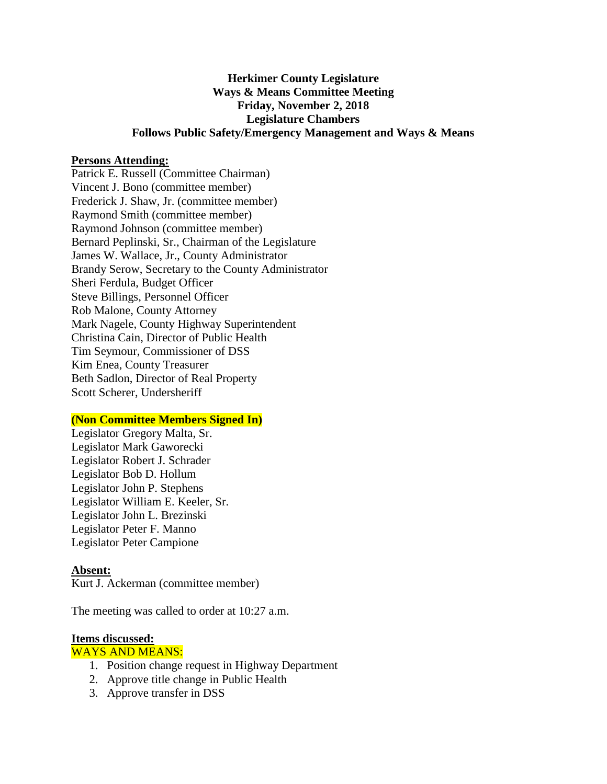## **Herkimer County Legislature Ways & Means Committee Meeting Friday, November 2, 2018 Legislature Chambers Follows Public Safety/Emergency Management and Ways & Means**

#### **Persons Attending:**

Patrick E. Russell (Committee Chairman) Vincent J. Bono (committee member) Frederick J. Shaw, Jr. (committee member) Raymond Smith (committee member) Raymond Johnson (committee member) Bernard Peplinski, Sr., Chairman of the Legislature James W. Wallace, Jr., County Administrator Brandy Serow, Secretary to the County Administrator Sheri Ferdula, Budget Officer Steve Billings, Personnel Officer Rob Malone, County Attorney Mark Nagele, County Highway Superintendent Christina Cain, Director of Public Health Tim Seymour, Commissioner of DSS Kim Enea, County Treasurer Beth Sadlon, Director of Real Property Scott Scherer, Undersheriff

### **(Non Committee Members Signed In)**

Legislator Gregory Malta, Sr. Legislator Mark Gaworecki Legislator Robert J. Schrader Legislator Bob D. Hollum Legislator John P. Stephens Legislator William E. Keeler, Sr. Legislator John L. Brezinski Legislator Peter F. Manno Legislator Peter Campione

#### **Absent:**

Kurt J. Ackerman (committee member)

The meeting was called to order at 10:27 a.m.

#### **Items discussed:**

#### WAYS AND MEANS:

- 1. Position change request in Highway Department
- 2. Approve title change in Public Health
- 3. Approve transfer in DSS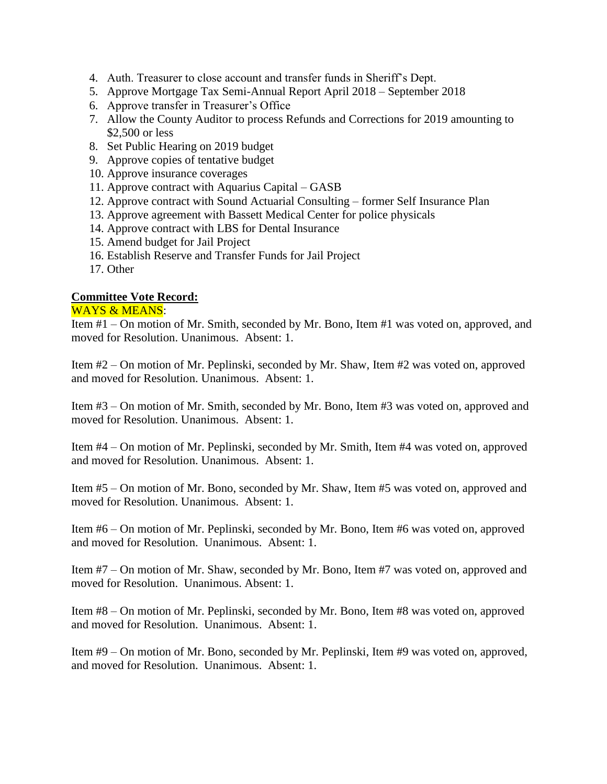- 4. Auth. Treasurer to close account and transfer funds in Sheriff's Dept.
- 5. Approve Mortgage Tax Semi-Annual Report April 2018 September 2018
- 6. Approve transfer in Treasurer's Office
- 7. Allow the County Auditor to process Refunds and Corrections for 2019 amounting to \$2,500 or less
- 8. Set Public Hearing on 2019 budget
- 9. Approve copies of tentative budget
- 10. Approve insurance coverages
- 11. Approve contract with Aquarius Capital GASB
- 12. Approve contract with Sound Actuarial Consulting former Self Insurance Plan
- 13. Approve agreement with Bassett Medical Center for police physicals
- 14. Approve contract with LBS for Dental Insurance
- 15. Amend budget for Jail Project
- 16. Establish Reserve and Transfer Funds for Jail Project
- 17. Other

# **Committee Vote Record:**

### WAYS & MEANS:

Item #1 – On motion of Mr. Smith, seconded by Mr. Bono, Item #1 was voted on, approved, and moved for Resolution. Unanimous. Absent: 1.

Item #2 – On motion of Mr. Peplinski, seconded by Mr. Shaw, Item #2 was voted on, approved and moved for Resolution. Unanimous. Absent: 1.

Item #3 – On motion of Mr. Smith, seconded by Mr. Bono, Item #3 was voted on, approved and moved for Resolution. Unanimous. Absent: 1.

Item #4 – On motion of Mr. Peplinski, seconded by Mr. Smith, Item #4 was voted on, approved and moved for Resolution. Unanimous. Absent: 1.

Item #5 – On motion of Mr. Bono, seconded by Mr. Shaw, Item #5 was voted on, approved and moved for Resolution. Unanimous. Absent: 1.

Item #6 – On motion of Mr. Peplinski, seconded by Mr. Bono, Item #6 was voted on, approved and moved for Resolution. Unanimous. Absent: 1.

Item #7 – On motion of Mr. Shaw, seconded by Mr. Bono, Item #7 was voted on, approved and moved for Resolution. Unanimous. Absent: 1.

Item #8 – On motion of Mr. Peplinski, seconded by Mr. Bono, Item #8 was voted on, approved and moved for Resolution. Unanimous. Absent: 1.

Item #9 – On motion of Mr. Bono, seconded by Mr. Peplinski, Item #9 was voted on, approved, and moved for Resolution. Unanimous. Absent: 1.